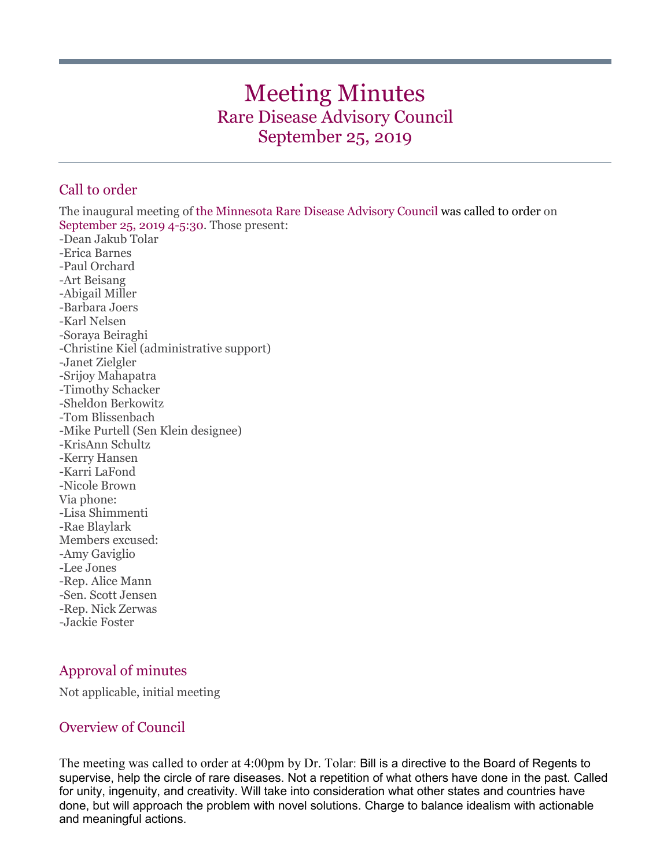# Meeting Minutes Rare Disease Advisory Council September 25, 2019

# Call to order

The inaugural meeting of the Minnesota Rare Disease Advisory Council was called to order on September 25, 2019 4-5:30. Those present: -Dean Jakub Tolar -Erica Barnes -Paul Orchard -Art Beisang -Abigail Miller -Barbara Joers -Karl Nelsen -Soraya Beiraghi -Christine Kiel (administrative support) -Janet Zielgler -Srijoy Mahapatra -Timothy Schacker -Sheldon Berkowitz -Tom Blissenbach -Mike Purtell (Sen Klein designee) -KrisAnn Schultz -Kerry Hansen -Karri LaFond -Nicole Brown Via phone: -Lisa Shimmenti -Rae Blaylark Members excused: -Amy Gaviglio -Lee Jones -Rep. Alice Mann -Sen. Scott Jensen -Rep. Nick Zerwas -Jackie Foster

# Approval of minutes

Not applicable, initial meeting

## Overview of Council

The meeting was called to order at 4:00pm by Dr. Tolar: Bill is a directive to the Board of Regents to supervise, help the circle of rare diseases. Not a repetition of what others have done in the past. Called for unity, ingenuity, and creativity. Will take into consideration what other states and countries have done, but will approach the problem with novel solutions. Charge to balance idealism with actionable and meaningful actions.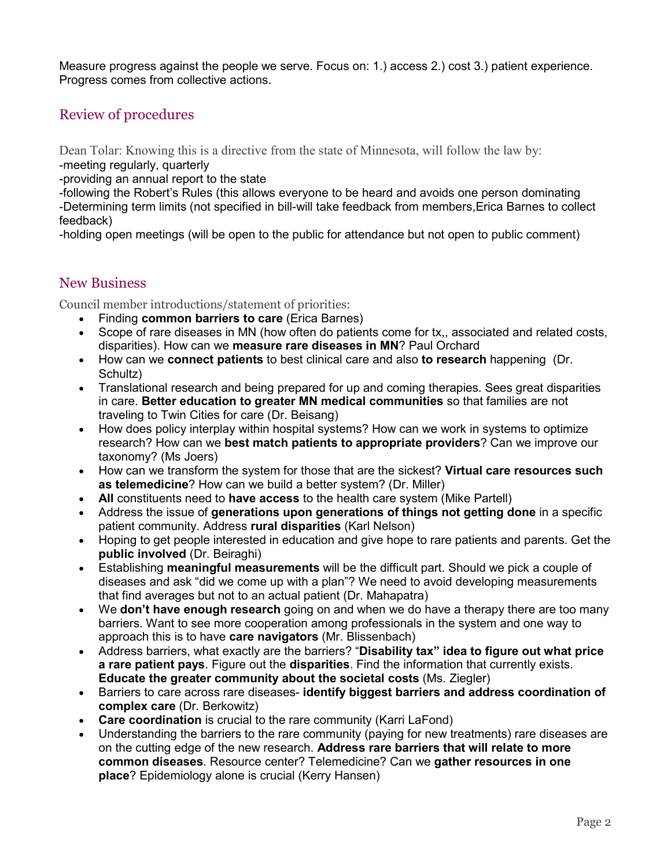Measure progress against the people we serve. Focus on: 1.) access 2.) cost 3.) patient experience. Progress comes from collective actions.

## Review of procedures

Dean Tolar: Knowing this is a directive from the state of Minnesota, will follow the law by: -meeting regularly, quarterly

-providing an annual report to the state

-following the Robert's Rules (this allows everyone to be heard and avoids one person dominating

-Determining term limits (not specified in bill-will take feedback from members,Erica Barnes to collect feedback)

-holding open meetings (will be open to the public for attendance but not open to public comment)

## New Business

Council member introductions/statement of priorities:

- Finding **common barriers to care** (Erica Barnes)
- Scope of rare diseases in MN (how often do patients come for tx,, associated and related costs, disparities). How can we **measure rare diseases in MN**? Paul Orchard
- How can we **connect patients** to best clinical care and also **to research** happening (Dr. Schultz)
- Translational research and being prepared for up and coming therapies. Sees great disparities in care. **Better education to greater MN medical communities** so that families are not traveling to Twin Cities for care (Dr. Beisang)
- How does policy interplay within hospital systems? How can we work in systems to optimize research? How can we **best match patients to appropriate providers**? Can we improve our taxonomy? (Ms Joers)
- How can we transform the system for those that are the sickest? **Virtual care resources such as telemedicine**? How can we build a better system? (Dr. Miller)
- **All** constituents need to **have access** to the health care system (Mike Partell)
- Address the issue of **generations upon generations of things not getting done** in a specific patient community. Address **rural disparities** (Karl Nelson)
- Hoping to get people interested in education and give hope to rare patients and parents. Get the **public involved** (Dr. Beiraghi)
- Establishing **meaningful measurements** will be the difficult part. Should we pick a couple of diseases and ask "did we come up with a plan"? We need to avoid developing measurements that find averages but not to an actual patient (Dr. Mahapatra)
- We **don't have enough research** going on and when we do have a therapy there are too many barriers. Want to see more cooperation among professionals in the system and one way to approach this is to have **care navigators** (Mr. Blissenbach)
- Address barriers, what exactly are the barriers? "**Disability tax" idea to figure out what price a rare patient pays**. Figure out the **disparities**. Find the information that currently exists. **Educate the greater community about the societal costs** (Ms. Ziegler)
- Barriers to care across rare diseases- **identify biggest barriers and address coordination of complex care** (Dr. Berkowitz)
- **Care coordination** is crucial to the rare community (Karri LaFond)
- Understanding the barriers to the rare community (paying for new treatments) rare diseases are on the cutting edge of the new research. **Address rare barriers that will relate to more common diseases**. Resource center? Telemedicine? Can we **gather resources in one place**? Epidemiology alone is crucial (Kerry Hansen)